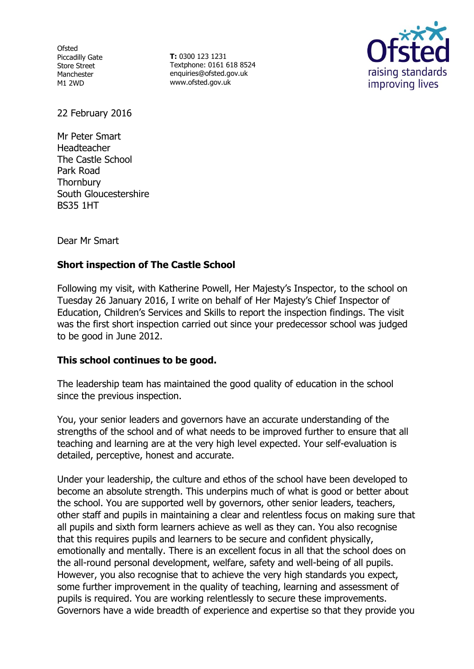**Ofsted** Piccadilly Gate Store Street Manchester M1 2WD

**T:** 0300 123 1231 Textphone: 0161 618 8524 enquiries@ofsted.gov.uk [www.ofsted.](http://www.ofsted/)gov.uk



22 February 2016

Mr Peter Smart Headteacher The Castle School Park Road **Thornbury** South Gloucestershire BS35 1HT

Dear Mr Smart

# **Short inspection of The Castle School**

Following my visit, with Katherine Powell, Her Majesty's Inspector, to the school on Tuesday 26 January 2016, I write on behalf of Her Majesty's Chief Inspector of Education, Children's Services and Skills to report the inspection findings. The visit was the first short inspection carried out since your predecessor school was judged to be good in June 2012.

### **This school continues to be good.**

The leadership team has maintained the good quality of education in the school since the previous inspection.

You, your senior leaders and governors have an accurate understanding of the strengths of the school and of what needs to be improved further to ensure that all teaching and learning are at the very high level expected. Your self-evaluation is detailed, perceptive, honest and accurate.

Under your leadership, the culture and ethos of the school have been developed to become an absolute strength. This underpins much of what is good or better about the school. You are supported well by governors, other senior leaders, teachers, other staff and pupils in maintaining a clear and relentless focus on making sure that all pupils and sixth form learners achieve as well as they can. You also recognise that this requires pupils and learners to be secure and confident physically, emotionally and mentally. There is an excellent focus in all that the school does on the all-round personal development, welfare, safety and well-being of all pupils. However, you also recognise that to achieve the very high standards you expect, some further improvement in the quality of teaching, learning and assessment of pupils is required. You are working relentlessly to secure these improvements. Governors have a wide breadth of experience and expertise so that they provide you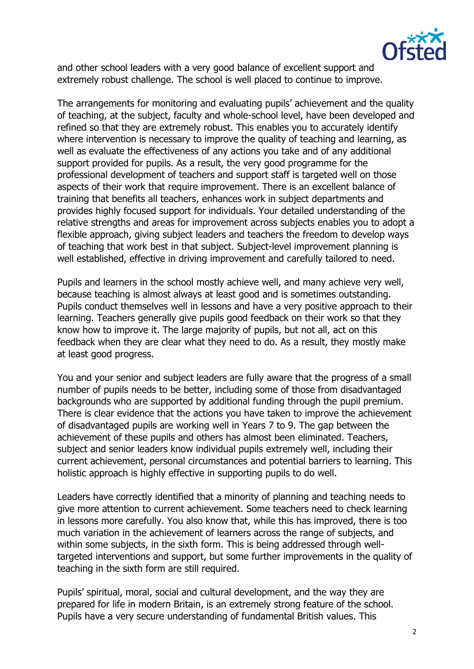

and other school leaders with a very good balance of excellent support and extremely robust challenge. The school is well placed to continue to improve.

The arrangements for monitoring and evaluating pupils' achievement and the quality of teaching, at the subject, faculty and whole-school level, have been developed and refined so that they are extremely robust. This enables you to accurately identify where intervention is necessary to improve the quality of teaching and learning, as well as evaluate the effectiveness of any actions you take and of any additional support provided for pupils. As a result, the very good programme for the professional development of teachers and support staff is targeted well on those aspects of their work that require improvement. There is an excellent balance of training that benefits all teachers, enhances work in subject departments and provides highly focused support for individuals. Your detailed understanding of the relative strengths and areas for improvement across subjects enables you to adopt a flexible approach, giving subject leaders and teachers the freedom to develop ways of teaching that work best in that subject. Subject-level improvement planning is well established, effective in driving improvement and carefully tailored to need.

Pupils and learners in the school mostly achieve well, and many achieve very well, because teaching is almost always at least good and is sometimes outstanding. Pupils conduct themselves well in lessons and have a very positive approach to their learning. Teachers generally give pupils good feedback on their work so that they know how to improve it. The large majority of pupils, but not all, act on this feedback when they are clear what they need to do. As a result, they mostly make at least good progress.

You and your senior and subject leaders are fully aware that the progress of a small number of pupils needs to be better, including some of those from disadvantaged backgrounds who are supported by additional funding through the pupil premium. There is clear evidence that the actions you have taken to improve the achievement of disadvantaged pupils are working well in Years 7 to 9. The gap between the achievement of these pupils and others has almost been eliminated. Teachers, subject and senior leaders know individual pupils extremely well, including their current achievement, personal circumstances and potential barriers to learning. This holistic approach is highly effective in supporting pupils to do well.

Leaders have correctly identified that a minority of planning and teaching needs to give more attention to current achievement. Some teachers need to check learning in lessons more carefully. You also know that, while this has improved, there is too much variation in the achievement of learners across the range of subjects, and within some subjects, in the sixth form. This is being addressed through welltargeted interventions and support, but some further improvements in the quality of teaching in the sixth form are still required.

Pupils' spiritual, moral, social and cultural development, and the way they are prepared for life in modern Britain, is an extremely strong feature of the school. Pupils have a very secure understanding of fundamental British values. This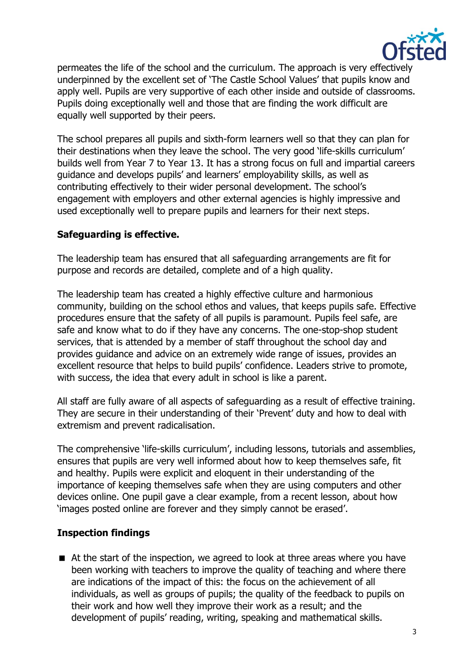

permeates the life of the school and the curriculum. The approach is very effectively underpinned by the excellent set of 'The Castle School Values' that pupils know and apply well. Pupils are very supportive of each other inside and outside of classrooms. Pupils doing exceptionally well and those that are finding the work difficult are equally well supported by their peers.

The school prepares all pupils and sixth-form learners well so that they can plan for their destinations when they leave the school. The very good 'life-skills curriculum' builds well from Year 7 to Year 13. It has a strong focus on full and impartial careers guidance and develops pupils' and learners' employability skills, as well as contributing effectively to their wider personal development. The school's engagement with employers and other external agencies is highly impressive and used exceptionally well to prepare pupils and learners for their next steps.

## **Safeguarding is effective.**

The leadership team has ensured that all safeguarding arrangements are fit for purpose and records are detailed, complete and of a high quality.

The leadership team has created a highly effective culture and harmonious community, building on the school ethos and values, that keeps pupils safe. Effective procedures ensure that the safety of all pupils is paramount. Pupils feel safe, are safe and know what to do if they have any concerns. The one-stop-shop student services, that is attended by a member of staff throughout the school day and provides guidance and advice on an extremely wide range of issues, provides an excellent resource that helps to build pupils' confidence. Leaders strive to promote, with success, the idea that every adult in school is like a parent.

All staff are fully aware of all aspects of safeguarding as a result of effective training. They are secure in their understanding of their 'Prevent' duty and how to deal with extremism and prevent radicalisation.

The comprehensive 'life-skills curriculum', including lessons, tutorials and assemblies, ensures that pupils are very well informed about how to keep themselves safe, fit and healthy. Pupils were explicit and eloquent in their understanding of the importance of keeping themselves safe when they are using computers and other devices online. One pupil gave a clear example, from a recent lesson, about how 'images posted online are forever and they simply cannot be erased'.

### **Inspection findings**

■ At the start of the inspection, we agreed to look at three areas where you have been working with teachers to improve the quality of teaching and where there are indications of the impact of this: the focus on the achievement of all individuals, as well as groups of pupils; the quality of the feedback to pupils on their work and how well they improve their work as a result; and the development of pupils' reading, writing, speaking and mathematical skills.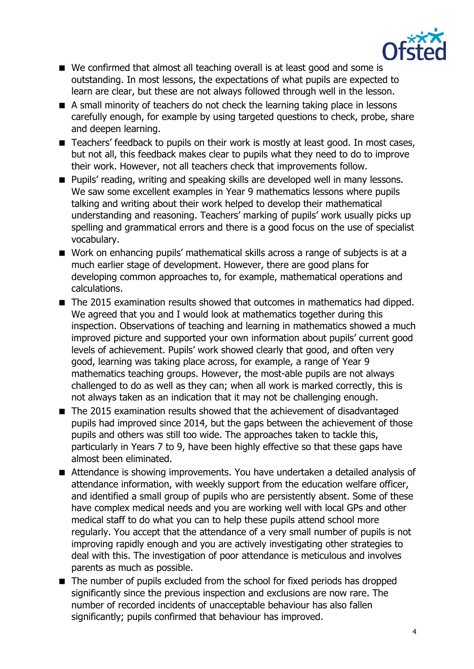

- We confirmed that almost all teaching overall is at least good and some is outstanding. In most lessons, the expectations of what pupils are expected to learn are clear, but these are not always followed through well in the lesson.
- A small minority of teachers do not check the learning taking place in lessons carefully enough, for example by using targeted questions to check, probe, share and deepen learning.
- Teachers' feedback to pupils on their work is mostly at least good. In most cases, but not all, this feedback makes clear to pupils what they need to do to improve their work. However, not all teachers check that improvements follow.
- **Pupils' reading, writing and speaking skills are developed well in many lessons.** We saw some excellent examples in Year 9 mathematics lessons where pupils talking and writing about their work helped to develop their mathematical understanding and reasoning. Teachers' marking of pupils' work usually picks up spelling and grammatical errors and there is a good focus on the use of specialist vocabulary.
- Work on enhancing pupils' mathematical skills across a range of subjects is at a much earlier stage of development. However, there are good plans for developing common approaches to, for example, mathematical operations and calculations.
- The 2015 examination results showed that outcomes in mathematics had dipped. We agreed that you and I would look at mathematics together during this inspection. Observations of teaching and learning in mathematics showed a much improved picture and supported your own information about pupils' current good levels of achievement. Pupils' work showed clearly that good, and often very good, learning was taking place across, for example, a range of Year 9 mathematics teaching groups. However, the most-able pupils are not always challenged to do as well as they can; when all work is marked correctly, this is not always taken as an indication that it may not be challenging enough.
- The 2015 examination results showed that the achievement of disadvantaged pupils had improved since 2014, but the gaps between the achievement of those pupils and others was still too wide. The approaches taken to tackle this, particularly in Years 7 to 9, have been highly effective so that these gaps have almost been eliminated.
- Attendance is showing improvements. You have undertaken a detailed analysis of attendance information, with weekly support from the education welfare officer, and identified a small group of pupils who are persistently absent. Some of these have complex medical needs and you are working well with local GPs and other medical staff to do what you can to help these pupils attend school more regularly. You accept that the attendance of a very small number of pupils is not improving rapidly enough and you are actively investigating other strategies to deal with this. The investigation of poor attendance is meticulous and involves parents as much as possible.
- The number of pupils excluded from the school for fixed periods has dropped significantly since the previous inspection and exclusions are now rare. The number of recorded incidents of unacceptable behaviour has also fallen significantly; pupils confirmed that behaviour has improved.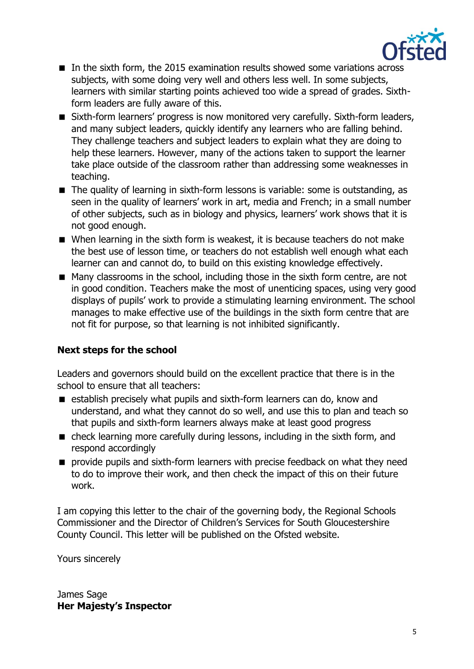

- In the sixth form, the 2015 examination results showed some variations across subjects, with some doing very well and others less well. In some subjects, learners with similar starting points achieved too wide a spread of grades. Sixthform leaders are fully aware of this.
- Sixth-form learners' progress is now monitored very carefully. Sixth-form leaders, and many subject leaders, quickly identify any learners who are falling behind. They challenge teachers and subject leaders to explain what they are doing to help these learners. However, many of the actions taken to support the learner take place outside of the classroom rather than addressing some weaknesses in teaching.
- The quality of learning in sixth-form lessons is variable: some is outstanding, as seen in the quality of learners' work in art, media and French; in a small number of other subjects, such as in biology and physics, learners' work shows that it is not good enough.
- When learning in the sixth form is weakest, it is because teachers do not make the best use of lesson time, or teachers do not establish well enough what each learner can and cannot do, to build on this existing knowledge effectively.
- Many classrooms in the school, including those in the sixth form centre, are not in good condition. Teachers make the most of unenticing spaces, using very good displays of pupils' work to provide a stimulating learning environment. The school manages to make effective use of the buildings in the sixth form centre that are not fit for purpose, so that learning is not inhibited significantly.

# **Next steps for the school**

Leaders and governors should build on the excellent practice that there is in the school to ensure that all teachers:

- establish precisely what pupils and sixth-form learners can do, know and understand, and what they cannot do so well, and use this to plan and teach so that pupils and sixth-form learners always make at least good progress
- check learning more carefully during lessons, including in the sixth form, and respond accordingly
- **P** provide pupils and sixth-form learners with precise feedback on what they need to do to improve their work, and then check the impact of this on their future work.

I am copying this letter to the chair of the governing body, the Regional Schools Commissioner and the Director of Children's Services for South Gloucestershire County Council. This letter will be published on the Ofsted website.

Yours sincerely

James Sage **Her Majesty's Inspector**